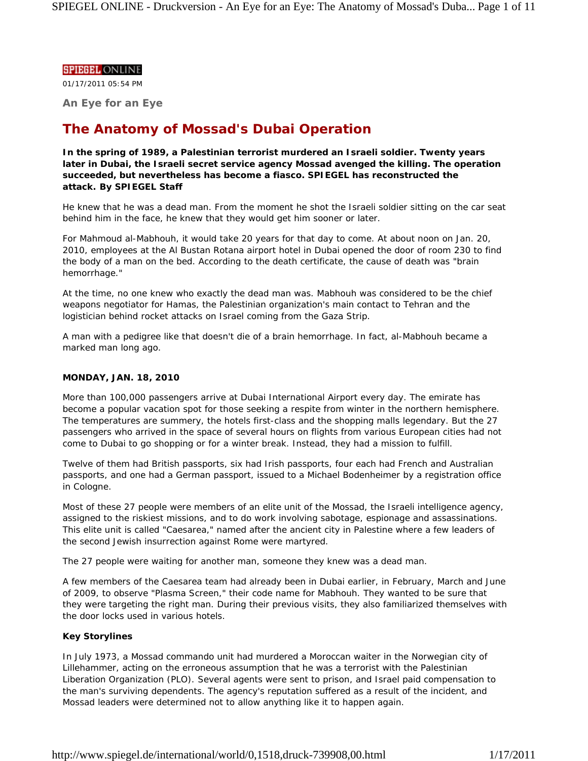## **SPIEGEL ONLINE**

01/17/2011 05:54 PM

**An Eye for an Eye**

# **The Anatomy of Mossad's Dubai Operation**

**In the spring of 1989, a Palestinian terrorist murdered an Israeli soldier. Twenty years later in Dubai, the Israeli secret service agency Mossad avenged the killing. The operation succeeded, but nevertheless has become a fiasco. SPIEGEL has reconstructed the attack.** *By SPIEGEL Staff*

He knew that he was a dead man. From the moment he shot the Israeli soldier sitting on the car seat behind him in the face, he knew that they would get him sooner or later.

For Mahmoud al-Mabhouh, it would take 20 years for that day to come. At about noon on Jan. 20, 2010, employees at the Al Bustan Rotana airport hotel in Dubai opened the door of room 230 to find the body of a man on the bed. According to the death certificate, the cause of death was "brain hemorrhage."

At the time, no one knew who exactly the dead man was. Mabhouh was considered to be the chief weapons negotiator for Hamas, the Palestinian organization's main contact to Tehran and the logistician behind rocket attacks on Israel coming from the Gaza Strip.

A man with a pedigree like that doesn't die of a brain hemorrhage. In fact, al-Mabhouh became a marked man long ago.

# **MONDAY, JAN. 18, 2010**

More than 100,000 passengers arrive at Dubai International Airport every day. The emirate has become a popular vacation spot for those seeking a respite from winter in the northern hemisphere. The temperatures are summery, the hotels first-class and the shopping malls legendary. But the 27 passengers who arrived in the space of several hours on flights from various European cities had not come to Dubai to go shopping or for a winter break. Instead, they had a mission to fulfill.

Twelve of them had British passports, six had Irish passports, four each had French and Australian passports, and one had a German passport, issued to a Michael Bodenheimer by a registration office in Cologne.

Most of these 27 people were members of an elite unit of the Mossad, the Israeli intelligence agency, assigned to the riskiest missions, and to do work involving sabotage, espionage and assassinations. This elite unit is called "Caesarea," named after the ancient city in Palestine where a few leaders of the second Jewish insurrection against Rome were martyred.

The 27 people were waiting for another man, someone they knew was a dead man.

A few members of the Caesarea team had already been in Dubai earlier, in February, March and June of 2009, to observe "Plasma Screen," their code name for Mabhouh. They wanted to be sure that they were targeting the right man. During their previous visits, they also familiarized themselves with the door locks used in various hotels.

# **Key Storylines**

In July 1973, a Mossad commando unit had murdered a Moroccan waiter in the Norwegian city of Lillehammer, acting on the erroneous assumption that he was a terrorist with the Palestinian Liberation Organization (PLO). Several agents were sent to prison, and Israel paid compensation to the man's surviving dependents. The agency's reputation suffered as a result of the incident, and Mossad leaders were determined not to allow anything like it to happen again.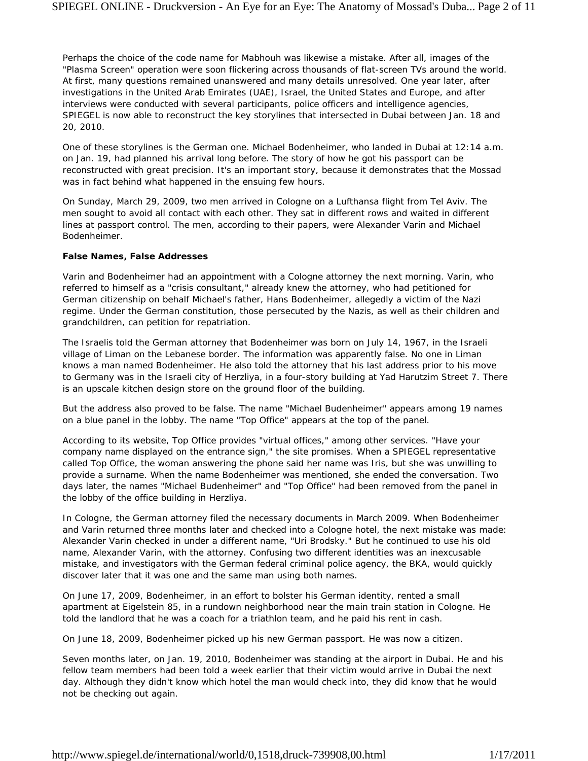Perhaps the choice of the code name for Mabhouh was likewise a mistake. After all, images of the "Plasma Screen" operation were soon flickering across thousands of flat-screen TVs around the world. At first, many questions remained unanswered and many details unresolved. One year later, after investigations in the United Arab Emirates (UAE), Israel, the United States and Europe, and after interviews were conducted with several participants, police officers and intelligence agencies, SPIEGEL is now able to reconstruct the key storylines that intersected in Dubai between Jan. 18 and 20, 2010.

One of these storylines is the German one. Michael Bodenheimer, who landed in Dubai at 12:14 a.m. on Jan. 19, had planned his arrival long before. The story of how he got his passport can be reconstructed with great precision. It's an important story, because it demonstrates that the Mossad was in fact behind what happened in the ensuing few hours.

On Sunday, March 29, 2009, two men arrived in Cologne on a Lufthansa flight from Tel Aviv. The men sought to avoid all contact with each other. They sat in different rows and waited in different lines at passport control. The men, according to their papers, were Alexander Varin and Michael Bodenheimer.

#### **False Names, False Addresses**

Varin and Bodenheimer had an appointment with a Cologne attorney the next morning. Varin, who referred to himself as a "crisis consultant," already knew the attorney, who had petitioned for German citizenship on behalf Michael's father, Hans Bodenheimer, allegedly a victim of the Nazi regime. Under the German constitution, those persecuted by the Nazis, as well as their children and grandchildren, can petition for repatriation.

The Israelis told the German attorney that Bodenheimer was born on July 14, 1967, in the Israeli village of Liman on the Lebanese border. The information was apparently false. No one in Liman knows a man named Bodenheimer. He also told the attorney that his last address prior to his move to Germany was in the Israeli city of Herzliya, in a four-story building at Yad Harutzim Street 7. There is an upscale kitchen design store on the ground floor of the building.

But the address also proved to be false. The name "Michael Budenheimer" appears among 19 names on a blue panel in the lobby. The name "Top Office" appears at the top of the panel.

According to its website, Top Office provides "virtual offices," among other services. "Have your company name displayed on the entrance sign," the site promises. When a SPIEGEL representative called Top Office, the woman answering the phone said her name was Iris, but she was unwilling to provide a surname. When the name Bodenheimer was mentioned, she ended the conversation. Two days later, the names "Michael Budenheimer" and "Top Office" had been removed from the panel in the lobby of the office building in Herzliya.

In Cologne, the German attorney filed the necessary documents in March 2009. When Bodenheimer and Varin returned three months later and checked into a Cologne hotel, the next mistake was made: Alexander Varin checked in under a different name, "Uri Brodsky." But he continued to use his old name, Alexander Varin, with the attorney. Confusing two different identities was an inexcusable mistake, and investigators with the German federal criminal police agency, the BKA, would quickly discover later that it was one and the same man using both names.

On June 17, 2009, Bodenheimer, in an effort to bolster his German identity, rented a small apartment at Eigelstein 85, in a rundown neighborhood near the main train station in Cologne. He told the landlord that he was a coach for a triathlon team, and he paid his rent in cash.

On June 18, 2009, Bodenheimer picked up his new German passport. He was now a citizen.

Seven months later, on Jan. 19, 2010, Bodenheimer was standing at the airport in Dubai. He and his fellow team members had been told a week earlier that their victim would arrive in Dubai the next day. Although they didn't know which hotel the man would check into, they did know that he would not be checking out again.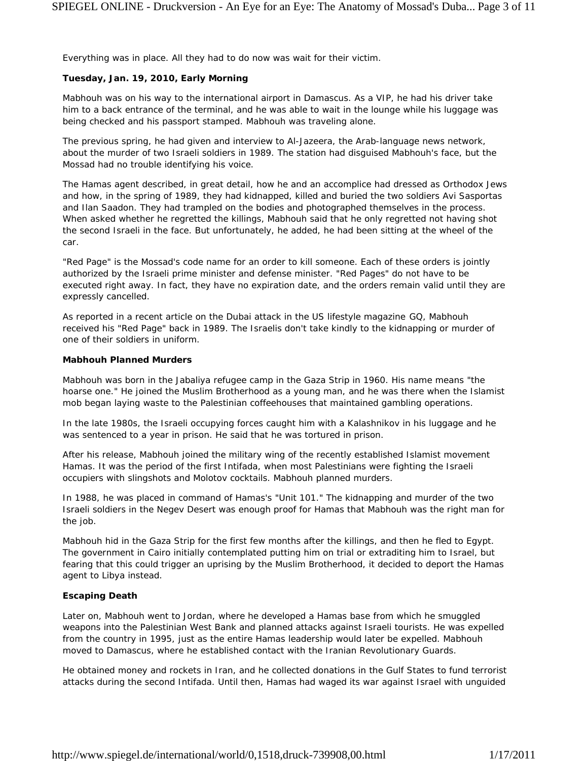Everything was in place. All they had to do now was wait for their victim.

# **Tuesday, Jan. 19, 2010, Early Morning**

Mabhouh was on his way to the international airport in Damascus. As a VIP, he had his driver take him to a back entrance of the terminal, and he was able to wait in the lounge while his luggage was being checked and his passport stamped. Mabhouh was traveling alone.

The previous spring, he had given and interview to Al-Jazeera, the Arab-language news network, about the murder of two Israeli soldiers in 1989. The station had disguised Mabhouh's face, but the Mossad had no trouble identifying his voice.

The Hamas agent described, in great detail, how he and an accomplice had dressed as Orthodox Jews and how, in the spring of 1989, they had kidnapped, killed and buried the two soldiers Avi Sasportas and Ilan Saadon. They had trampled on the bodies and photographed themselves in the process. When asked whether he regretted the killings, Mabhouh said that he only regretted not having shot the second Israeli in the face. But unfortunately, he added, he had been sitting at the wheel of the car.

"Red Page" is the Mossad's code name for an order to kill someone. Each of these orders is jointly authorized by the Israeli prime minister and defense minister. "Red Pages" do not have to be executed right away. In fact, they have no expiration date, and the orders remain valid until they are expressly cancelled.

As reported in a recent article on the Dubai attack in the US lifestyle magazine *GQ*, Mabhouh received his "Red Page" back in 1989. The Israelis don't take kindly to the kidnapping or murder of one of their soldiers in uniform.

#### **Mabhouh Planned Murders**

Mabhouh was born in the Jabaliya refugee camp in the Gaza Strip in 1960. His name means "the hoarse one." He joined the Muslim Brotherhood as a young man, and he was there when the Islamist mob began laying waste to the Palestinian coffeehouses that maintained gambling operations.

In the late 1980s, the Israeli occupying forces caught him with a Kalashnikov in his luggage and he was sentenced to a year in prison. He said that he was tortured in prison.

After his release, Mabhouh joined the military wing of the recently established Islamist movement Hamas. It was the period of the first Intifada, when most Palestinians were fighting the Israeli occupiers with slingshots and Molotov cocktails. Mabhouh planned murders.

In 1988, he was placed in command of Hamas's "Unit 101." The kidnapping and murder of the two Israeli soldiers in the Negev Desert was enough proof for Hamas that Mabhouh was the right man for the job.

Mabhouh hid in the Gaza Strip for the first few months after the killings, and then he fled to Egypt. The government in Cairo initially contemplated putting him on trial or extraditing him to Israel, but fearing that this could trigger an uprising by the Muslim Brotherhood, it decided to deport the Hamas agent to Libya instead.

# **Escaping Death**

Later on, Mabhouh went to Jordan, where he developed a Hamas base from which he smuggled weapons into the Palestinian West Bank and planned attacks against Israeli tourists. He was expelled from the country in 1995, just as the entire Hamas leadership would later be expelled. Mabhouh moved to Damascus, where he established contact with the Iranian Revolutionary Guards.

He obtained money and rockets in Iran, and he collected donations in the Gulf States to fund terrorist attacks during the second Intifada. Until then, Hamas had waged its war against Israel with unguided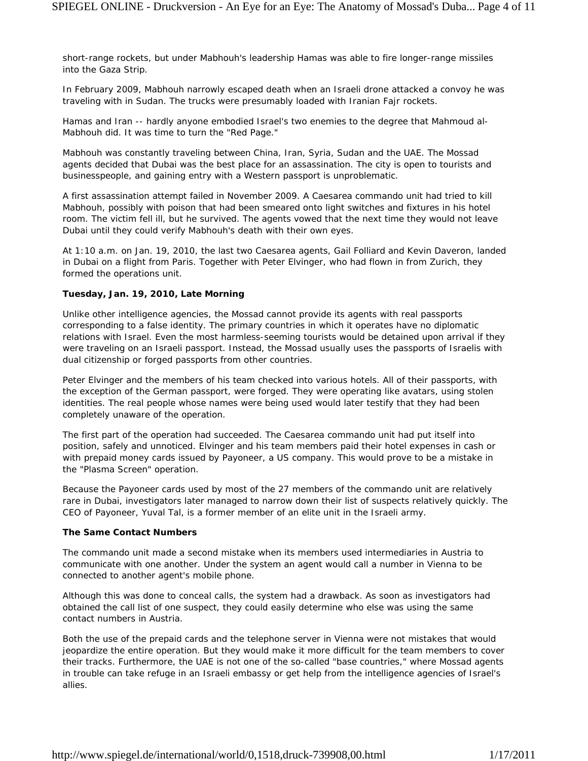short-range rockets, but under Mabhouh's leadership Hamas was able to fire longer-range missiles into the Gaza Strip.

In February 2009, Mabhouh narrowly escaped death when an Israeli drone attacked a convoy he was traveling with in Sudan. The trucks were presumably loaded with Iranian Fajr rockets.

Hamas and Iran -- hardly anyone embodied Israel's two enemies to the degree that Mahmoud al-Mabhouh did. It was time to turn the "Red Page."

Mabhouh was constantly traveling between China, Iran, Syria, Sudan and the UAE. The Mossad agents decided that Dubai was the best place for an assassination. The city is open to tourists and businesspeople, and gaining entry with a Western passport is unproblematic.

A first assassination attempt failed in November 2009. A Caesarea commando unit had tried to kill Mabhouh, possibly with poison that had been smeared onto light switches and fixtures in his hotel room. The victim fell ill, but he survived. The agents vowed that the next time they would not leave Dubai until they could verify Mabhouh's death with their own eyes.

At 1:10 a.m. on Jan. 19, 2010, the last two Caesarea agents, Gail Folliard and Kevin Daveron, landed in Dubai on a flight from Paris. Together with Peter Elvinger, who had flown in from Zurich, they formed the operations unit.

## **Tuesday, Jan. 19, 2010, Late Morning**

Unlike other intelligence agencies, the Mossad cannot provide its agents with real passports corresponding to a false identity. The primary countries in which it operates have no diplomatic relations with Israel. Even the most harmless-seeming tourists would be detained upon arrival if they were traveling on an Israeli passport. Instead, the Mossad usually uses the passports of Israelis with dual citizenship or forged passports from other countries.

Peter Elvinger and the members of his team checked into various hotels. All of their passports, with the exception of the German passport, were forged. They were operating like avatars, using stolen identities. The real people whose names were being used would later testify that they had been completely unaware of the operation.

The first part of the operation had succeeded. The Caesarea commando unit had put itself into position, safely and unnoticed. Elvinger and his team members paid their hotel expenses in cash or with prepaid money cards issued by Payoneer, a US company. This would prove to be a mistake in the "Plasma Screen" operation.

Because the Payoneer cards used by most of the 27 members of the commando unit are relatively rare in Dubai, investigators later managed to narrow down their list of suspects relatively quickly. The CEO of Payoneer, Yuval Tal, is a former member of an elite unit in the Israeli army.

#### **The Same Contact Numbers**

The commando unit made a second mistake when its members used intermediaries in Austria to communicate with one another. Under the system an agent would call a number in Vienna to be connected to another agent's mobile phone.

Although this was done to conceal calls, the system had a drawback. As soon as investigators had obtained the call list of one suspect, they could easily determine who else was using the same contact numbers in Austria.

Both the use of the prepaid cards and the telephone server in Vienna were not mistakes that would jeopardize the entire operation. But they would make it more difficult for the team members to cover their tracks. Furthermore, the UAE is not one of the so-called "base countries," where Mossad agents in trouble can take refuge in an Israeli embassy or get help from the intelligence agencies of Israel's allies.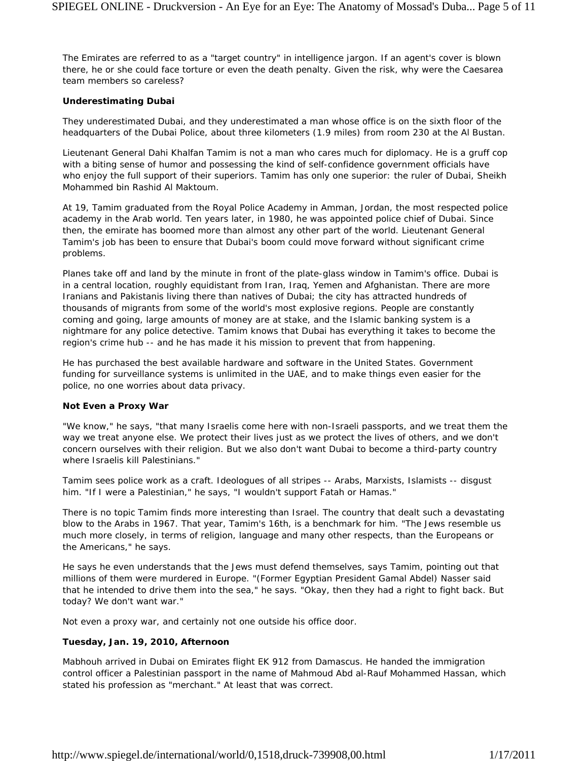The Emirates are referred to as a "target country" in intelligence jargon. If an agent's cover is blown there, he or she could face torture or even the death penalty. Given the risk, why were the Caesarea team members so careless?

## **Underestimating Dubai**

They underestimated Dubai, and they underestimated a man whose office is on the sixth floor of the headquarters of the Dubai Police, about three kilometers (1.9 miles) from room 230 at the Al Bustan.

Lieutenant General Dahi Khalfan Tamim is not a man who cares much for diplomacy. He is a gruff cop with a biting sense of humor and possessing the kind of self-confidence government officials have who enjoy the full support of their superiors. Tamim has only one superior: the ruler of Dubai, Sheikh Mohammed bin Rashid Al Maktoum.

At 19, Tamim graduated from the Royal Police Academy in Amman, Jordan, the most respected police academy in the Arab world. Ten years later, in 1980, he was appointed police chief of Dubai. Since then, the emirate has boomed more than almost any other part of the world. Lieutenant General Tamim's job has been to ensure that Dubai's boom could move forward without significant crime problems.

Planes take off and land by the minute in front of the plate-glass window in Tamim's office. Dubai is in a central location, roughly equidistant from Iran, Iraq, Yemen and Afghanistan. There are more Iranians and Pakistanis living there than natives of Dubai; the city has attracted hundreds of thousands of migrants from some of the world's most explosive regions. People are constantly coming and going, large amounts of money are at stake, and the Islamic banking system is a nightmare for any police detective. Tamim knows that Dubai has everything it takes to become the region's crime hub -- and he has made it his mission to prevent that from happening.

He has purchased the best available hardware and software in the United States. Government funding for surveillance systems is unlimited in the UAE, and to make things even easier for the police, no one worries about data privacy.

#### **Not Even a Proxy War**

"We know," he says, "that many Israelis come here with non-Israeli passports, and we treat them the way we treat anyone else. We protect their lives just as we protect the lives of others, and we don't concern ourselves with their religion. But we also don't want Dubai to become a third-party country where Israelis kill Palestinians."

Tamim sees police work as a craft. Ideologues of all stripes -- Arabs, Marxists, Islamists -- disgust him. "If I were a Palestinian," he says, "I wouldn't support Fatah or Hamas."

There is no topic Tamim finds more interesting than Israel. The country that dealt such a devastating blow to the Arabs in 1967. That year, Tamim's 16th, is a benchmark for him. "The Jews resemble us much more closely, in terms of religion, language and many other respects, than the Europeans or the Americans," he says.

He says he even understands that the Jews must defend themselves, says Tamim, pointing out that millions of them were murdered in Europe. "(Former Egyptian President Gamal Abdel) Nasser said that he intended to drive them into the sea," he says. "Okay, then they had a right to fight back. But today? We don't want war."

Not even a proxy war, and certainly not one outside his office door.

# **Tuesday, Jan. 19, 2010, Afternoon**

Mabhouh arrived in Dubai on Emirates flight EK 912 from Damascus. He handed the immigration control officer a Palestinian passport in the name of Mahmoud Abd al-Rauf Mohammed Hassan, which stated his profession as "merchant." At least that was correct.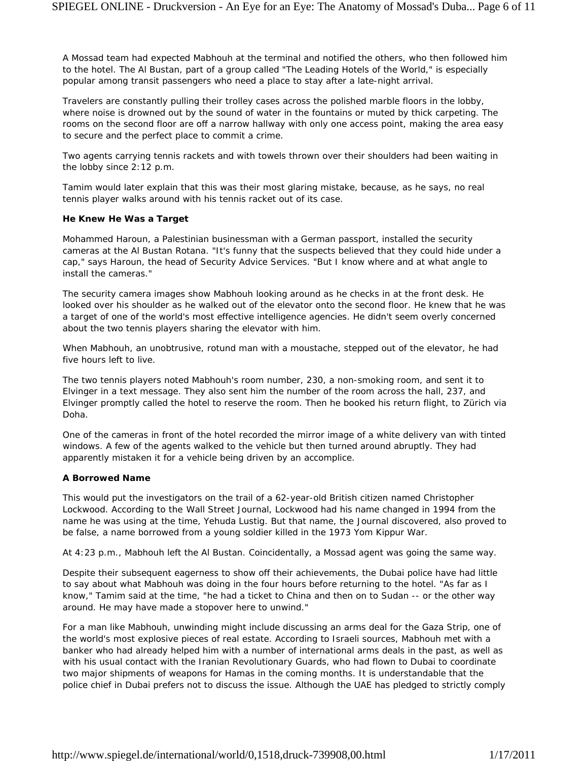A Mossad team had expected Mabhouh at the terminal and notified the others, who then followed him to the hotel. The Al Bustan, part of a group called "The Leading Hotels of the World," is especially popular among transit passengers who need a place to stay after a late-night arrival.

Travelers are constantly pulling their trolley cases across the polished marble floors in the lobby, where noise is drowned out by the sound of water in the fountains or muted by thick carpeting. The rooms on the second floor are off a narrow hallway with only one access point, making the area easy to secure and the perfect place to commit a crime.

Two agents carrying tennis rackets and with towels thrown over their shoulders had been waiting in the lobby since 2:12 p.m.

Tamim would later explain that this was their most glaring mistake, because, as he says, no real tennis player walks around with his tennis racket out of its case.

## **He Knew He Was a Target**

Mohammed Haroun, a Palestinian businessman with a German passport, installed the security cameras at the Al Bustan Rotana. "It's funny that the suspects believed that they could hide under a cap," says Haroun, the head of Security Advice Services. "But I know where and at what angle to install the cameras."

The security camera images show Mabhouh looking around as he checks in at the front desk. He looked over his shoulder as he walked out of the elevator onto the second floor. He knew that he was a target of one of the world's most effective intelligence agencies. He didn't seem overly concerned about the two tennis players sharing the elevator with him.

When Mabhouh, an unobtrusive, rotund man with a moustache, stepped out of the elevator, he had five hours left to live.

The two tennis players noted Mabhouh's room number, 230, a non-smoking room, and sent it to Elvinger in a text message. They also sent him the number of the room across the hall, 237, and Elvinger promptly called the hotel to reserve the room. Then he booked his return flight, to Zürich via Doha.

One of the cameras in front of the hotel recorded the mirror image of a white delivery van with tinted windows. A few of the agents walked to the vehicle but then turned around abruptly. They had apparently mistaken it for a vehicle being driven by an accomplice.

# **A Borrowed Name**

This would put the investigators on the trail of a 62-year-old British citizen named Christopher Lockwood. According to the *Wall Street Journal*, Lockwood had his name changed in 1994 from the name he was using at the time, Yehuda Lustig. But that name, the *Journal* discovered, also proved to be false, a name borrowed from a young soldier killed in the 1973 Yom Kippur War.

At 4:23 p.m., Mabhouh left the Al Bustan. Coincidentally, a Mossad agent was going the same way.

Despite their subsequent eagerness to show off their achievements, the Dubai police have had little to say about what Mabhouh was doing in the four hours before returning to the hotel. "As far as I know," Tamim said at the time, "he had a ticket to China and then on to Sudan -- or the other way around. He may have made a stopover here to unwind."

For a man like Mabhouh, unwinding might include discussing an arms deal for the Gaza Strip, one of the world's most explosive pieces of real estate. According to Israeli sources, Mabhouh met with a banker who had already helped him with a number of international arms deals in the past, as well as with his usual contact with the Iranian Revolutionary Guards, who had flown to Dubai to coordinate two major shipments of weapons for Hamas in the coming months. It is understandable that the police chief in Dubai prefers not to discuss the issue. Although the UAE has pledged to strictly comply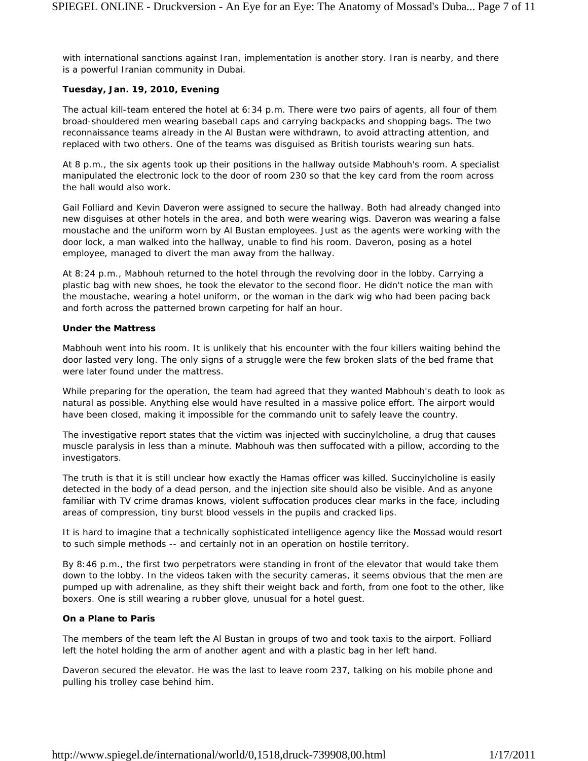with international sanctions against Iran, implementation is another story. Iran is nearby, and there is a powerful Iranian community in Dubai.

## **Tuesday, Jan. 19, 2010, Evening**

The actual kill-team entered the hotel at 6:34 p.m. There were two pairs of agents, all four of them broad-shouldered men wearing baseball caps and carrying backpacks and shopping bags. The two reconnaissance teams already in the Al Bustan were withdrawn, to avoid attracting attention, and replaced with two others. One of the teams was disguised as British tourists wearing sun hats.

At 8 p.m., the six agents took up their positions in the hallway outside Mabhouh's room. A specialist manipulated the electronic lock to the door of room 230 so that the key card from the room across the hall would also work.

Gail Folliard and Kevin Daveron were assigned to secure the hallway. Both had already changed into new disguises at other hotels in the area, and both were wearing wigs. Daveron was wearing a false moustache and the uniform worn by Al Bustan employees. Just as the agents were working with the door lock, a man walked into the hallway, unable to find his room. Daveron, posing as a hotel employee, managed to divert the man away from the hallway.

At 8:24 p.m., Mabhouh returned to the hotel through the revolving door in the lobby. Carrying a plastic bag with new shoes, he took the elevator to the second floor. He didn't notice the man with the moustache, wearing a hotel uniform, or the woman in the dark wig who had been pacing back and forth across the patterned brown carpeting for half an hour.

## **Under the Mattress**

Mabhouh went into his room. It is unlikely that his encounter with the four killers waiting behind the door lasted very long. The only signs of a struggle were the few broken slats of the bed frame that were later found under the mattress.

While preparing for the operation, the team had agreed that they wanted Mabhouh's death to look as natural as possible. Anything else would have resulted in a massive police effort. The airport would have been closed, making it impossible for the commando unit to safely leave the country.

The investigative report states that the victim was injected with succinylcholine, a drug that causes muscle paralysis in less than a minute. Mabhouh was then suffocated with a pillow, according to the investigators.

The truth is that it is still unclear how exactly the Hamas officer was killed. Succinylcholine is easily detected in the body of a dead person, and the injection site should also be visible. And as anyone familiar with TV crime dramas knows, violent suffocation produces clear marks in the face, including areas of compression, tiny burst blood vessels in the pupils and cracked lips.

It is hard to imagine that a technically sophisticated intelligence agency like the Mossad would resort to such simple methods -- and certainly not in an operation on hostile territory.

By 8:46 p.m., the first two perpetrators were standing in front of the elevator that would take them down to the lobby. In the videos taken with the security cameras, it seems obvious that the men are pumped up with adrenaline, as they shift their weight back and forth, from one foot to the other, like boxers. One is still wearing a rubber glove, unusual for a hotel guest.

# **On a Plane to Paris**

The members of the team left the Al Bustan in groups of two and took taxis to the airport. Folliard left the hotel holding the arm of another agent and with a plastic bag in her left hand.

Daveron secured the elevator. He was the last to leave room 237, talking on his mobile phone and pulling his trolley case behind him.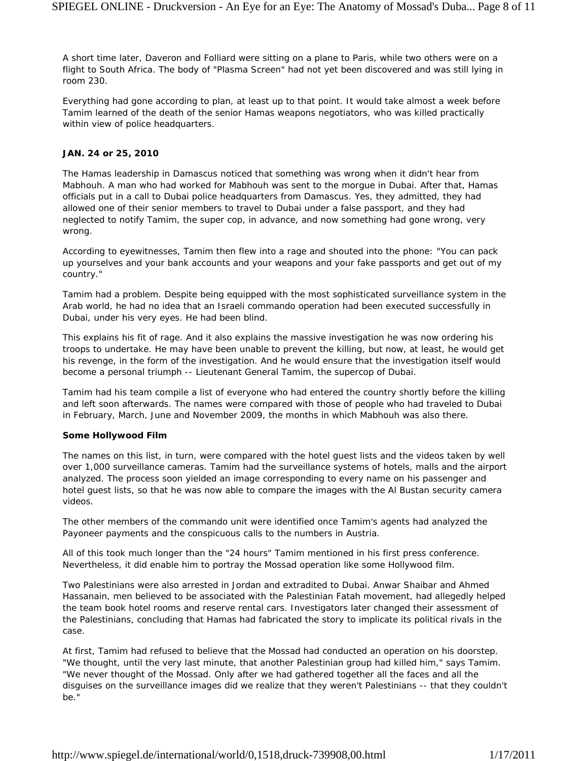A short time later, Daveron and Folliard were sitting on a plane to Paris, while two others were on a flight to South Africa. The body of "Plasma Screen" had not yet been discovered and was still lying in room 230.

Everything had gone according to plan, at least up to that point. It would take almost a week before Tamim learned of the death of the senior Hamas weapons negotiators, who was killed practically within view of police headquarters.

## **JAN. 24 or 25, 2010**

The Hamas leadership in Damascus noticed that something was wrong when it didn't hear from Mabhouh. A man who had worked for Mabhouh was sent to the morgue in Dubai. After that, Hamas officials put in a call to Dubai police headquarters from Damascus. Yes, they admitted, they had allowed one of their senior members to travel to Dubai under a false passport, and they had neglected to notify Tamim, the super cop, in advance, and now something had gone wrong, very wrong.

According to eyewitnesses, Tamim then flew into a rage and shouted into the phone: "You can pack up yourselves and your bank accounts and your weapons and your fake passports and get out of my country."

Tamim had a problem. Despite being equipped with the most sophisticated surveillance system in the Arab world, he had no idea that an Israeli commando operation had been executed successfully in Dubai, under his very eyes. He had been blind.

This explains his fit of rage. And it also explains the massive investigation he was now ordering his troops to undertake. He may have been unable to prevent the killing, but now, at least, he would get his revenge, in the form of the investigation. And he would ensure that the investigation itself would become a personal triumph -- Lieutenant General Tamim, the supercop of Dubai.

Tamim had his team compile a list of everyone who had entered the country shortly before the killing and left soon afterwards. The names were compared with those of people who had traveled to Dubai in February, March, June and November 2009, the months in which Mabhouh was also there.

#### **Some Hollywood Film**

The names on this list, in turn, were compared with the hotel guest lists and the videos taken by well over 1,000 surveillance cameras. Tamim had the surveillance systems of hotels, malls and the airport analyzed. The process soon yielded an image corresponding to every name on his passenger and hotel guest lists, so that he was now able to compare the images with the Al Bustan security camera videos.

The other members of the commando unit were identified once Tamim's agents had analyzed the Payoneer payments and the conspicuous calls to the numbers in Austria.

All of this took much longer than the "24 hours" Tamim mentioned in his first press conference. Nevertheless, it did enable him to portray the Mossad operation like some Hollywood film.

Two Palestinians were also arrested in Jordan and extradited to Dubai. Anwar Shaibar and Ahmed Hassanain, men believed to be associated with the Palestinian Fatah movement, had allegedly helped the team book hotel rooms and reserve rental cars. Investigators later changed their assessment of the Palestinians, concluding that Hamas had fabricated the story to implicate its political rivals in the case.

At first, Tamim had refused to believe that the Mossad had conducted an operation on his doorstep. "We thought, until the very last minute, that another Palestinian group had killed him," says Tamim. "We never thought of the Mossad. Only after we had gathered together all the faces and all the disguises on the surveillance images did we realize that they weren't Palestinians -- that they couldn't be."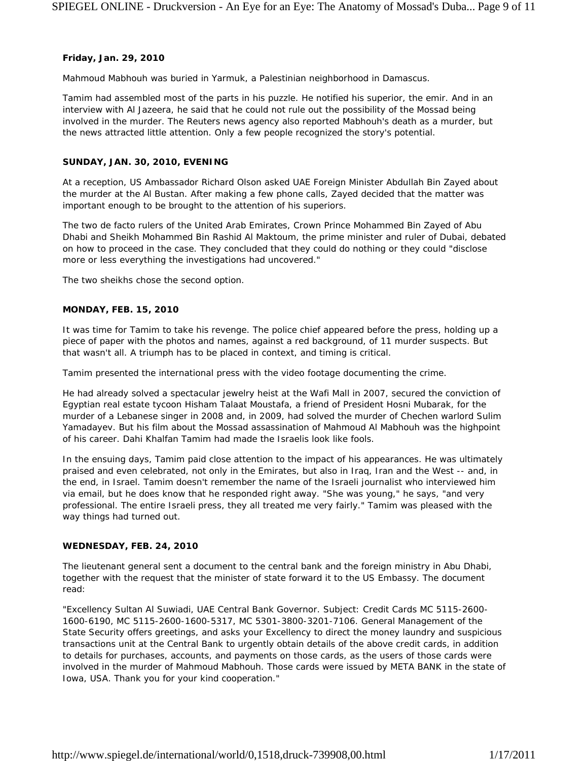#### **Friday, Jan. 29, 2010**

Mahmoud Mabhouh was buried in Yarmuk, a Palestinian neighborhood in Damascus.

Tamim had assembled most of the parts in his puzzle. He notified his superior, the emir. And in an interview with Al Jazeera, he said that he could not rule out the possibility of the Mossad being involved in the murder. The Reuters news agency also reported Mabhouh's death as a murder, but the news attracted little attention. Only a few people recognized the story's potential.

# **SUNDAY, JAN. 30, 2010, EVENING**

At a reception, US Ambassador Richard Olson asked UAE Foreign Minister Abdullah Bin Zayed about the murder at the Al Bustan. After making a few phone calls, Zayed decided that the matter was important enough to be brought to the attention of his superiors.

The two de facto rulers of the United Arab Emirates, Crown Prince Mohammed Bin Zayed of Abu Dhabi and Sheikh Mohammed Bin Rashid Al Maktoum, the prime minister and ruler of Dubai, debated on how to proceed in the case. They concluded that they could do nothing or they could "disclose more or less everything the investigations had uncovered."

The two sheikhs chose the second option.

## **MONDAY, FEB. 15, 2010**

It was time for Tamim to take his revenge. The police chief appeared before the press, holding up a piece of paper with the photos and names, against a red background, of 11 murder suspects. But that wasn't all. A triumph has to be placed in context, and timing is critical.

Tamim presented the international press with the video footage documenting the crime.

He had already solved a spectacular jewelry heist at the Wafi Mall in 2007, secured the conviction of Egyptian real estate tycoon Hisham Talaat Moustafa, a friend of President Hosni Mubarak, for the murder of a Lebanese singer in 2008 and, in 2009, had solved the murder of Chechen warlord Sulim Yamadayev. But his film about the Mossad assassination of Mahmoud Al Mabhouh was the highpoint of his career. Dahi Khalfan Tamim had made the Israelis look like fools.

In the ensuing days, Tamim paid close attention to the impact of his appearances. He was ultimately praised and even celebrated, not only in the Emirates, but also in Iraq, Iran and the West -- and, in the end, in Israel. Tamim doesn't remember the name of the Israeli journalist who interviewed him via email, but he does know that he responded right away. "She was young," he says, "and very professional. The entire Israeli press, they all treated me very fairly." Tamim was pleased with the way things had turned out.

# **WEDNESDAY, FEB. 24, 2010**

The lieutenant general sent a document to the central bank and the foreign ministry in Abu Dhabi, together with the request that the minister of state forward it to the US Embassy. The document read:

"Excellency Sultan Al Suwiadi, UAE Central Bank Governor. Subject: Credit Cards MC 5115-2600- 1600-6190, MC 5115-2600-1600-5317, MC 5301-3800-3201-7106. General Management of the State Security offers greetings, and asks your Excellency to direct the money laundry and suspicious transactions unit at the Central Bank to urgently obtain details of the above credit cards, in addition to details for purchases, accounts, and payments on those cards, as the users of those cards were involved in the murder of Mahmoud Mabhouh. Those cards were issued by META BANK in the state of Iowa, USA. Thank you for your kind cooperation."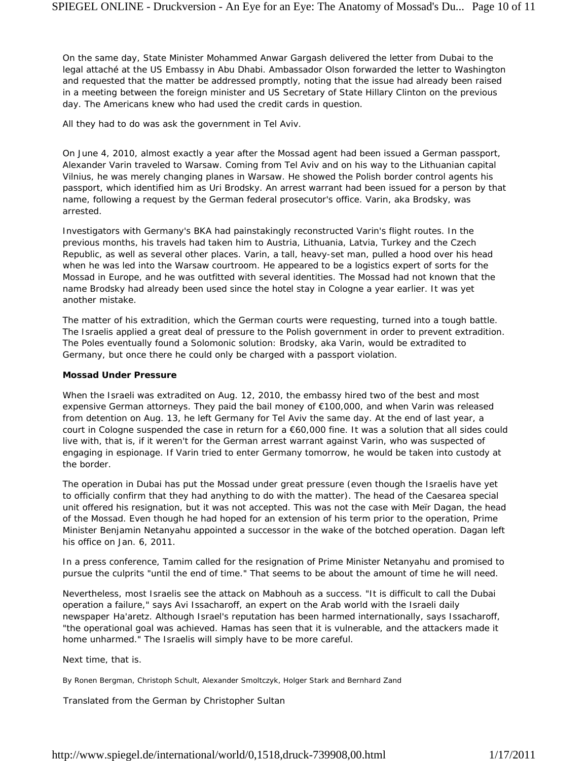On the same day, State Minister Mohammed Anwar Gargash delivered the letter from Dubai to the legal attaché at the US Embassy in Abu Dhabi. Ambassador Olson forwarded the letter to Washington and requested that the matter be addressed promptly, noting that the issue had already been raised in a meeting between the foreign minister and US Secretary of State Hillary Clinton on the previous day. The Americans knew who had used the credit cards in question.

All they had to do was ask the government in Tel Aviv.

On June 4, 2010, almost exactly a year after the Mossad agent had been issued a German passport, Alexander Varin traveled to Warsaw. Coming from Tel Aviv and on his way to the Lithuanian capital Vilnius, he was merely changing planes in Warsaw. He showed the Polish border control agents his passport, which identified him as Uri Brodsky. An arrest warrant had been issued for a person by that name, following a request by the German federal prosecutor's office. Varin, aka Brodsky, was arrested.

Investigators with Germany's BKA had painstakingly reconstructed Varin's flight routes. In the previous months, his travels had taken him to Austria, Lithuania, Latvia, Turkey and the Czech Republic, as well as several other places. Varin, a tall, heavy-set man, pulled a hood over his head when he was led into the Warsaw courtroom. He appeared to be a logistics expert of sorts for the Mossad in Europe, and he was outfitted with several identities. The Mossad had not known that the name Brodsky had already been used since the hotel stay in Cologne a year earlier. It was yet another mistake.

The matter of his extradition, which the German courts were requesting, turned into a tough battle. The Israelis applied a great deal of pressure to the Polish government in order to prevent extradition. The Poles eventually found a Solomonic solution: Brodsky, aka Varin, would be extradited to Germany, but once there he could only be charged with a passport violation.

#### **Mossad Under Pressure**

When the Israeli was extradited on Aug. 12, 2010, the embassy hired two of the best and most expensive German attorneys. They paid the bail money of €100,000, and when Varin was released from detention on Aug. 13, he left Germany for Tel Aviv the same day. At the end of last year, a court in Cologne suspended the case in return for a €60,000 fine. It was a solution that all sides could live with, that is, if it weren't for the German arrest warrant against Varin, who was suspected of engaging in espionage. If Varin tried to enter Germany tomorrow, he would be taken into custody at the border.

The operation in Dubai has put the Mossad under great pressure (even though the Israelis have yet to officially confirm that they had anything to do with the matter). The head of the Caesarea special unit offered his resignation, but it was not accepted. This was not the case with Meïr Dagan, the head of the Mossad. Even though he had hoped for an extension of his term prior to the operation, Prime Minister Benjamin Netanyahu appointed a successor in the wake of the botched operation. Dagan left his office on Jan. 6, 2011.

In a press conference, Tamim called for the resignation of Prime Minister Netanyahu and promised to pursue the culprits "until the end of time." That seems to be about the amount of time he will need.

Nevertheless, most Israelis see the attack on Mabhouh as a success. "It is difficult to call the Dubai operation a failure," says Avi Issacharoff, an expert on the Arab world with the Israeli daily newspaper *Ha'aretz*. Although Israel's reputation has been harmed internationally, says Issacharoff, "the operational goal was achieved. Hamas has seen that it is vulnerable, and the attackers made it home unharmed." The Israelis will simply have to be more careful.

Next time, that is.

By Ronen Bergman, Christoph Schult, Alexander Smoltczyk, Holger Stark and Bernhard Zand

*Translated from the German by Christopher Sultan*